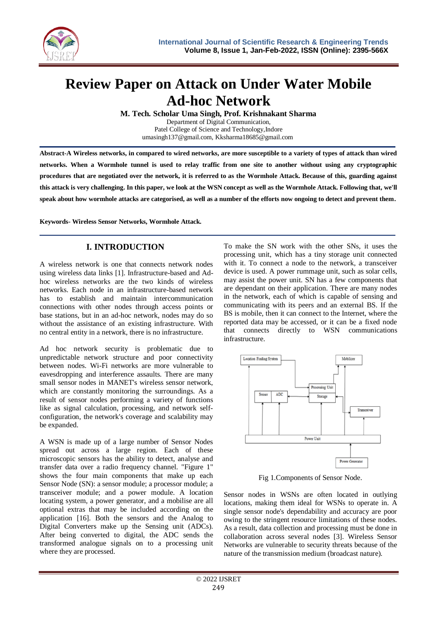

# **Review Paper on Attack on Under Water Mobile Ad-hoc Network**

**M. Tech. Scholar Uma Singh, Prof. Krishnakant Sharma**

Department of Digital Communication, Patel College of Science and Technology,Indore [umasingh137@gmail.com,](mailto:umasingh137@gmail.com) Kksharma18685@gmail.com

**Abstract-A Wireless networks, in compared to wired networks, are more susceptible to a variety of types of attack than wired networks. When a Wormhole tunnel is used to relay traffic from one site to another without using any cryptographic procedures that are negotiated over the network, it is referred to as the Wormhole Attack. Because of this, guarding against this attack is very challenging. In this paper, we look at the WSN concept as well as the Wormhole Attack. Following that, we'll speak about how wormhole attacks are categorised, as well as a number of the efforts now ongoing to detect and prevent them.**

**Keywords- Wireless Sensor Networks, Wormhole Attack.**

## **I. INTRODUCTION**

A wireless network is one that connects network nodes using wireless data links [1]. Infrastructure-based and Adhoc wireless networks are the two kinds of wireless networks. Each node in an infrastructure-based network has to establish and maintain intercommunication connections with other nodes through access points or base stations, but in an ad-hoc network, nodes may do so without the assistance of an existing infrastructure. With no central entity in a network, there is no infrastructure.

Ad hoc network security is problematic due to unpredictable network structure and poor connectivity between nodes. Wi-Fi networks are more vulnerable to eavesdropping and interference assaults. There are many small sensor nodes in MANET's wireless sensor network, which are constantly monitoring the surroundings. As a result of sensor nodes performing a variety of functions like as signal calculation, processing, and network selfconfiguration, the network's coverage and scalability may be expanded.

A WSN is made up of a large number of Sensor Nodes spread out across a large region. Each of these microscopic sensors has the ability to detect, analyse and transfer data over a radio frequency channel. "Figure 1" shows the four main components that make up each Sensor Node (SN): a sensor module; a processor module; a transceiver module; and a power module. A location locating system, a power generator, and a mobilise are all optional extras that may be included according on the application [16]. Both the sensors and the Analog to Digital Converters make up the Sensing unit (ADCs). After being converted to digital, the ADC sends the transformed analogue signals on to a processing unit where they are processed.

To make the SN work with the other SNs, it uses the processing unit, which has a tiny storage unit connected with it. To connect a node to the network, a transceiver device is used. A power rummage unit, such as solar cells, may assist the power unit. SN has a few components that are dependant on their application. There are many nodes in the network, each of which is capable of sensing and communicating with its peers and an external BS. If the BS is mobile, then it can connect to the Internet, where the reported data may be accessed, or it can be a fixed node that connects directly to WSN communications infrastructure.



Fig 1.Components of Sensor Node.

Sensor nodes in WSNs are often located in outlying locations, making them ideal for WSNs to operate in. A single sensor node's dependability and accuracy are poor owing to the stringent resource limitations of these nodes. As a result, data collection and processing must be done in collaboration across several nodes [3]. Wireless Sensor Networks are vulnerable to security threats because of the nature of the transmission medium (broadcast nature).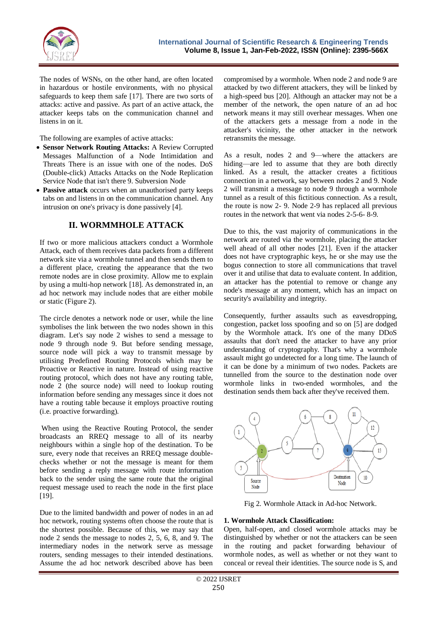

The nodes of WSNs, on the other hand, are often located in hazardous or hostile environments, with no physical safeguards to keep them safe [17]. There are two sorts of attacks: active and passive. As part of an active attack, the attacker keeps tabs on the communication channel and listens in on it.

The following are examples of active attacks:

- **Sensor Network Routing Attacks:** A Review Corrupted Messages Malfunction of a Node Intimidation and Threats There is an issue with one of the nodes. DoS (Double-click) Attacks Attacks on the Node Replication Service Node that isn't there 9. Subversion Node
- Passive attack occurs when an unauthorised party keeps tabs on and listens in on the communication channel. Any intrusion on one's privacy is done passively [4].

## **II. WORMMHOLE ATTACK**

If two or more malicious attackers conduct a Wormhole Attack, each of them receives data packets from a different network site via a wormhole tunnel and then sends them to a different place, creating the appearance that the two remote nodes are in close proximity. Allow me to explain by using a multi-hop network [18]. As demonstrated in, an ad hoc network may include nodes that are either mobile or static (Figure 2).

The circle denotes a network node or user, while the line symbolises the link between the two nodes shown in this diagram. Let's say node 2 wishes to send a message to node 9 through node 9. But before sending message, source node will pick a way to transmit message by utilising Predefined Routing Protocols which may be Proactive or Reactive in nature. Instead of using reactive routing protocol, which does not have any routing table, node 2 (the source node) will need to lookup routing information before sending any messages since it does not have a routing table because it employs proactive routing (i.e. proactive forwarding).

When using the Reactive Routing Protocol, the sender broadcasts an RREQ message to all of its nearby neighbours within a single hop of the destination. To be sure, every node that receives an RREQ message doublechecks whether or not the message is meant for them before sending a reply message with route information back to the sender using the same route that the original request message used to reach the node in the first place [19].

Due to the limited bandwidth and power of nodes in an ad hoc network, routing systems often choose the route that is the shortest possible. Because of this, we may say that node 2 sends the message to nodes 2, 5, 6, 8, and 9. The intermediary nodes in the network serve as message routers, sending messages to their intended destinations. Assume the ad hoc network described above has been

compromised by a wormhole. When node 2 and node 9 are attacked by two different attackers, they will be linked by a high-speed bus [20]. Although an attacker may not be a member of the network, the open nature of an ad hoc network means it may still overhear messages. When one of the attackers gets a message from a node in the attacker's vicinity, the other attacker in the network retransmits the message.

As a result, nodes 2 and 9—where the attackers are hiding—are led to assume that they are both directly linked. As a result, the attacker creates a fictitious connection in a network, say between nodes 2 and 9. Node 2 will transmit a message to node 9 through a wormhole tunnel as a result of this fictitious connection. As a result, the route is now 2- 9. Node 2-9 has replaced all previous routes in the network that went via nodes 2-5-6- 8-9.

Due to this, the vast majority of communications in the network are routed via the wormhole, placing the attacker well ahead of all other nodes [21]. Even if the attacker does not have cryptographic keys, he or she may use the bogus connection to store all communications that travel over it and utilise that data to evaluate content. In addition, an attacker has the potential to remove or change any node's message at any moment, which has an impact on security's availability and integrity.

Consequently, further assaults such as eavesdropping, congestion, packet loss spoofing and so on [5] are dodged by the Wormhole attack. It's one of the many DDoS assaults that don't need the attacker to have any prior understanding of cryptography. That's why a wormhole assault might go undetected for a long time. The launch of it can be done by a minimum of two nodes. Packets are tunnelled from the source to the destination node over wormhole links in two-ended wormholes, and the destination sends them back after they've received them.



Fig 2. Wormhole Attack in Ad-hoc Network.

## **1. Wormhole Attack Classification:**

Open, half-open, and closed wormhole attacks may be distinguished by whether or not the attackers can be seen in the routing and packet forwarding behaviour of wormhole nodes, as well as whether or not they want to conceal or reveal their identities. The source node is S, and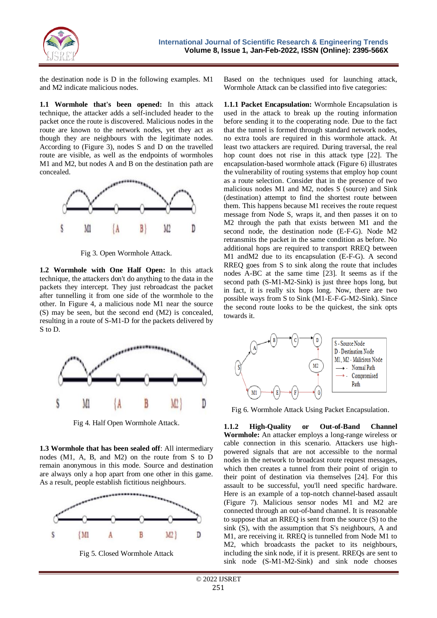

the destination node is D in the following examples. M1 and M2 indicate malicious nodes.

**1.1 Wormhole that's been opened:** In this attack technique, the attacker adds a self-included header to the packet once the route is discovered. Malicious nodes in the route are known to the network nodes, yet they act as though they are neighbours with the legitimate nodes. According to (Figure 3), nodes S and D on the travelled route are visible, as well as the endpoints of wormholes M1 and M2, but nodes A and B on the destination path are concealed.



Fig 3. Open Wormhole Attack.

**1.2 Wormhole with One Half Open:** In this attack technique, the attackers don't do anything to the data in the packets they intercept. They just rebroadcast the packet after tunnelling it from one side of the wormhole to the other. In Figure 4, a malicious node M1 near the source (S) may be seen, but the second end (M2) is concealed, resulting in a route of S-M1-D for the packets delivered by S to D.



Fig 4. Half Open Wormhole Attack.

**1.3 Wormhole that has been sealed off**: All intermediary nodes (M1, A, B, and M2) on the route from S to D remain anonymous in this mode. Source and destination are always only a hop apart from one other in this game. As a result, people establish fictitious neighbours.



Based on the techniques used for launching attack, Wormhole Attack can be classified into five categories:

**1.1.1 Packet Encapsulation:** Wormhole Encapsulation is used in the attack to break up the routing information before sending it to the cooperating node. Due to the fact that the tunnel is formed through standard network nodes, no extra tools are required in this wormhole attack. At least two attackers are required. During traversal, the real hop count does not rise in this attack type [22]. The encapsulation-based wormhole attack (Figure 6) illustrates the vulnerability of routing systems that employ hop count as a route selection. Consider that in the presence of two malicious nodes M1 and M2, nodes S (source) and Sink (destination) attempt to find the shortest route between them. This happens because M1 receives the route request message from Node S, wraps it, and then passes it on to M<sub>2</sub> through the path that exists between M<sub>1</sub> and the second node, the destination node (E-F-G). Node M2 retransmits the packet in the same condition as before. No additional hops are required to transport RREQ between M1 andM2 due to its encapsulation (E-F-G). A second RREQ goes from S to sink along the route that includes nodes A-BC at the same time [23]. It seems as if the second path (S-M1-M2-Sink) is just three hops long, but in fact, it is really six hops long. Now, there are two possible ways from S to Sink (M1-E-F-G-M2-Sink). Since the second route looks to be the quickest, the sink opts towards it.



Fig 6. Wormhole Attack Using Packet Encapsulation.

**1.1.2 High-Quality or Out-of-Band Channel Wormhole:** An attacker employs a long-range wireless or cable connection in this scenario. Attackers use highpowered signals that are not accessible to the normal nodes in the network to broadcast route request messages, which then creates a tunnel from their point of origin to their point of destination via themselves [24]. For this assault to be successful, you'll need specific hardware. Here is an example of a top-notch channel-based assault (Figure 7). Malicious sensor nodes M1 and M2 are connected through an out-of-band channel. It is reasonable to suppose that an RREQ is sent from the source (S) to the sink (S), with the assumption that S's neighbours, A and M1, are receiving it. RREQ is tunnelled from Node M1 to M2, which broadcasts the packet to its neighbours, including the sink node, if it is present. RREQs are sent to sink node (S-M1-M2-Sink) and sink node chooses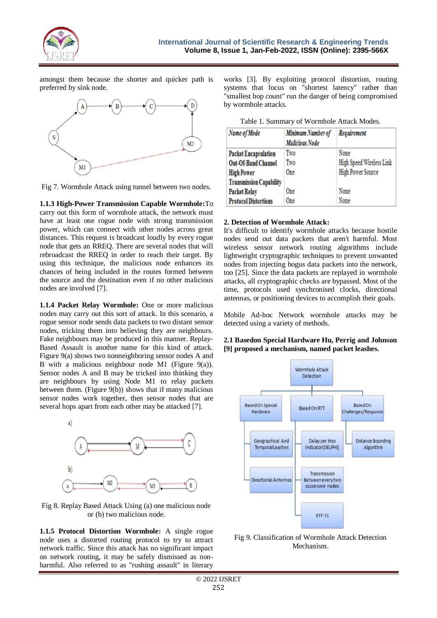

amongst them because the shorter and quicker path is preferred by sink node.



Fig 7. Wormhole Attack using tunnel between two nodes.

**1.1.3 High-Power Transmission Capable Wormhole:**To carry out this form of wormhole attack, the network must have at least one rogue node with strong transmission power, which can connect with other nodes across great distances. This request is broadcast loudly by every rogue node that gets an RREQ. There are several nodes that will rebroadcast the RREQ in order to reach their target. By using this technique, the malicious node enhances its chances of being included in the routes formed between the source and the destination even if no other malicious nodes are involved [7].

**1.1.4 Packet Relay Wormhole:** One or more malicious nodes may carry out this sort of attack. In this scenario, a rogue sensor node sends data packets to two distant sensor nodes, tricking them into believing they are neighbours. Fake neighbours may be produced in this manner. Replay-Based Assault is another name for this kind of attack. Figure 9(a) shows two nonneighboring sensor nodes A and B with a malicious neighbour node M1 (Figure 9(a)). Sensor nodes A and B may be tricked into thinking they are neighbours by using Node M1 to relay packets between them. (Figure 9(b)) shows that if many malicious sensor nodes work together, then sensor nodes that are several hops apart from each other may be attacked [7].



Fig 8. Replay Based Attack Using (a) one malicious node or (b) two malicious node.

**1.1.5 Protocol Distortion Wormhole:** A single rogue node uses a distorted routing protocol to try to attract network traffic. Since this attack has no significant impact on network routing, it may be safely dismissed as nonharmful. Also referred to as "rushing assault" in literary

works [3]. By exploiting protocol distortion, routing systems that focus on "shortest latency" rather than "smallest hop count" run the danger of being compromised by wormhole attacks.

| Name of Mode                   | Minimum Number of<br><b>Malicious Node</b> | Requirement              |  |
|--------------------------------|--------------------------------------------|--------------------------|--|
| <b>Packet Encapsulation</b>    | Two                                        | None                     |  |
| Out-Of-Band Channel            | Two                                        | High Speed Wireless Link |  |
| <b>High Power</b>              | One                                        | High Power Source        |  |
| <b>Transmission Capability</b> |                                            |                          |  |
| <b>Packet Relay</b>            | <b>One</b>                                 | None                     |  |
| <b>Protocol Distortions</b>    | One                                        | None                     |  |

#### **2. Detection of Wormhole Attack:**

It's difficult to identify wormhole attacks because hostile nodes send out data packets that aren't harmful. Most wireless sensor network routing algorithms include lightweight cryptographic techniques to prevent unwanted nodes from injecting bogus data packets into the network, too [25]. Since the data packets are replayed in wormhole attacks, all cryptographic checks are bypassed. Most of the time, protocols used synchronised clocks, directional antennas, or positioning devices to accomplish their goals.

Mobile Ad-hoc Network wormhole attacks may be detected using a variety of methods.

#### **2.1 Basedon Special Hardware Hu, Perrig and Johnson [9] proposed a mechanism, named packet leashes.**



Fig 9. Classification of Wormhole Attack Detection Mechanism.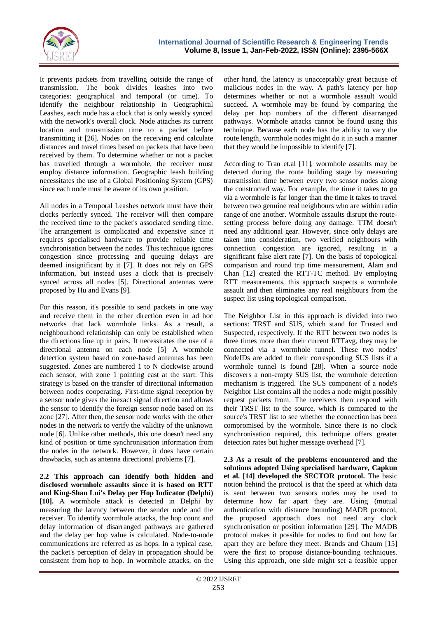

It prevents packets from travelling outside the range of transmission. The book divides leashes into two categories: geographical and temporal (or time). To identify the neighbour relationship in Geographical Leashes, each node has a clock that is only weakly synced with the network's overall clock. Node attaches its current location and transmission time to a packet before transmitting it [26]. Nodes on the receiving end calculate distances and travel times based on packets that have been received by them. To determine whether or not a packet has travelled through a wormhole, the receiver must employ distance information. Geographic leash building necessitates the use of a Global Positioning System (GPS) since each node must be aware of its own position.

All nodes in a Temporal Leashes network must have their clocks perfectly synced. The receiver will then compare the received time to the packet's associated sending time. The arrangement is complicated and expensive since it requires specialised hardware to provide reliable time synchronisation between the nodes. This technique ignores congestion since processing and queuing delays are deemed insignificant by it [7]. It does not rely on GPS information, but instead uses a clock that is precisely synced across all nodes [5]. Directional antennas were proposed by Hu and Evans [9].

For this reason, it's possible to send packets in one way and receive them in the other direction even in ad hoc networks that lack wormhole links. As a result, a neighbourhood relationship can only be established when the directions line up in pairs. It necessitates the use of a directional antenna on each node [5] A wormhole detection system based on zone-based antennas has been suggested. Zones are numbered 1 to N clockwise around each sensor, with zone 1 pointing east at the start. This strategy is based on the transfer of directional information between nodes cooperating. First-time signal reception by a sensor node gives the inexact signal direction and allows the sensor to identify the foreign sensor node based on its zone [27]. After then, the sensor node works with the other nodes in the network to verify the validity of the unknown node [6]. Unlike other methods, this one doesn't need any kind of position or time synchronisation information from the nodes in the network. However, it does have certain drawbacks, such as antenna directional problems [7].

**2.2 This approach can identify both hidden and disclosed wormhole assaults since it is based on RTT and King-Shan Lui's Delay per Hop Indicator (Delphi) [10].** A wormhole attack is detected in Delphi by measuring the latency between the sender node and the receiver. To identify wormhole attacks, the hop count and delay information of disarranged pathways are gathered and the delay per hop value is calculated. Node-to-node communications are referred as as hops. In a typical case, the packet's perception of delay in propagation should be consistent from hop to hop. In wormhole attacks, on the

other hand, the latency is unacceptably great because of malicious nodes in the way. A path's latency per hop determines whether or not a wormhole assault would succeed. A wormhole may be found by comparing the delay per hop numbers of the different disarranged pathways. Wormhole attacks cannot be found using this technique. Because each node has the ability to vary the route length, wormhole nodes might do it in such a manner that they would be impossible to identify [7].

According to Tran et.al [11], wormhole assaults may be detected during the route building stage by measuring transmission time between every two sensor nodes along the constructed way. For example, the time it takes to go via a wormhole is far longer than the time it takes to travel between two genuine real neighbours who are within radio range of one another. Wormhole assaults disrupt the routesetting process before doing any damage. TTM doesn't need any additional gear. However, since only delays are taken into consideration, two verified neighbours with connection congestion are ignored, resulting in a significant false alert rate [7]. On the basis of topological comparison and round trip time measurement, Alam and Chan [12] created the RTT-TC method. By employing RTT measurements, this approach suspects a wormhole assault and then eliminates any real neighbours from the suspect list using topological comparison.

The Neighbor List in this approach is divided into two sections: TRST and SUS, which stand for Trusted and Suspected, respectively. If the RTT between two nodes is three times more than their current RTTavg, they may be connected via a wormhole tunnel. These two nodes' NodeIDs are added to their corresponding SUS lists if a wormhole tunnel is found [28]. When a source node discovers a non-empty SUS list, the wormhole detection mechanism is triggered. The SUS component of a node's Neighbor List contains all the nodes a node might possibly request packets from. The receivers then respond with their TRST list to the source, which is compared to the source's TRST list to see whether the connection has been compromised by the wormhole. Since there is no clock synchronisation required, this technique offers greater detection rates but higher message overhead [7].

**2.3 As a result of the problems encountered and the solutions adopted Using specialised hardware, Capkun et al. [14] developed the SECTOR protocol.** The basic notion behind the protocol is that the speed at which data is sent between two sensors nodes may be used to determine how far apart they are. Using (mutual authentication with distance bounding) MADB protocol, the proposed approach does not need any clock synchronisation or position information [29]. The MADB protocol makes it possible for nodes to find out how far apart they are before they meet. Brands and Chaum [15] were the first to propose distance-bounding techniques. Using this approach, one side might set a feasible upper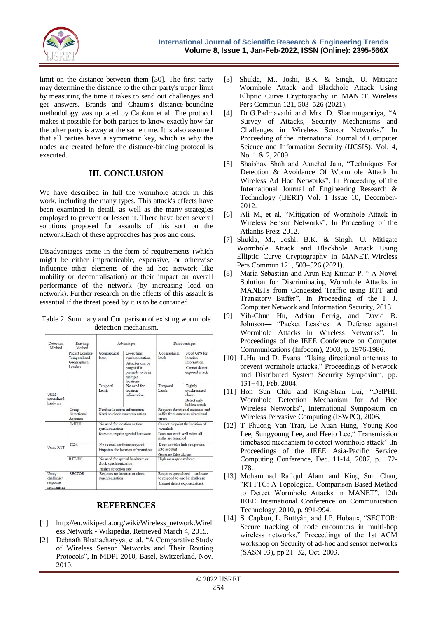

limit on the distance between them [30]. The first party may determine the distance to the other party's upper limit by measuring the time it takes to send out challenges and get answers. Brands and Chaum's distance-bounding methodology was updated by Capkun et al. The protocol makes it possible for both parties to know exactly how far the other party is away at the same time. It is also assumed that all parties have a symmetric key, which is why the nodes are created before the distance-binding protocol is executed.

# **III. CONCLUSION**

We have described in full the wormhole attack in this work, including the many types. This attack's effects have been examined in detail, as well as the many strategies employed to prevent or lessen it. There have been several solutions proposed for assaults of this sort on the network.Each of these approaches has pros and cons.

Disadvantages come in the form of requirements (which might be either impracticable, expensive, or otherwise influence other elements of the ad hoc network like mobility or decentralisation) or their impact on overall performance of the network (by increasing load on network). Further research on the effects of this assault is essential if the threat posed by it is to be contained.

Table 2. Summary and Comparison of existing wormhole detection mechanism.

| Detection<br>Method                          | Existing<br>Method                                         | Advantages                                                                           |                                                                                                                  | Disadvantages                                                                                    |                                                                             |
|----------------------------------------------|------------------------------------------------------------|--------------------------------------------------------------------------------------|------------------------------------------------------------------------------------------------------------------|--------------------------------------------------------------------------------------------------|-----------------------------------------------------------------------------|
|                                              | Packet Leashes-<br>Temporal and<br>Geographical<br>Leashes | Geographical<br>leash                                                                | Loose time<br>synchronization.<br>Attacker can be<br>caught if it<br>pretends to be in<br>multiple<br>locations. | Geographical<br>leash                                                                            | Need GPS for<br>location<br>information.<br>Cannot detect<br>exposed attack |
| Using<br>specialized<br>hardware             |                                                            | Temporal<br>Leash                                                                    | No need for<br>location<br>information                                                                           | Temporal<br>Leash                                                                                | Tightly<br>synchronized<br>clocks<br>Detect only<br>hidden attack           |
|                                              | Using<br>Directional<br><b>Antennas</b>                    | Need no location information<br>Need no clock synchronization                        |                                                                                                                  | Requires directional antennas and<br>suffer from antennas directional<br>errors                  |                                                                             |
| <b>Using RTT</b>                             | <b>DelPHI</b>                                              | No need for location or time<br>synchronization<br>Does not require special hardware |                                                                                                                  | Cannot pinpoint the location of<br>wormhole<br>Does not work well when all<br>paths are tunneled |                                                                             |
|                                              | <b>TTM</b>                                                 | No special hardware required<br>Pinpoints the location of wormhole                   |                                                                                                                  | Does not take link congestion<br>into account<br>Generate false alarms                           |                                                                             |
|                                              | RTT-TC                                                     | No need for special hardware or<br>clock synchronization.<br>Higher detection rate   |                                                                                                                  | High message overhead                                                                            |                                                                             |
| Using<br>challenge/<br>response<br>mechanism | <b>SECTOR</b>                                              | Requires no location or clock<br>synchronization                                     |                                                                                                                  | Requires specialized hardware<br>to respond to one bit challenge<br>Cannot detect exposed attack |                                                                             |

## **REFERENCES**

- [1] http://en.wikipedia.org/wiki/Wireless\_network.Wirel ess Network - Wikipedia, Retrieved March 4, 2015.
- [2] Debnath Bhattacharyya, et al, "A Comparative Study of Wireless Sensor Networks and Their Routing Protocols‖, In MDPI-2010, Basel, Switzerland, Nov. 2010.
- [3] Shukla, M., Joshi, B.K. & Singh, U. Mitigate Wormhole Attack and Blackhole Attack Using Elliptic Curve Cryptography in MANET. Wireless Pers Commun 121, 503–526 (2021).
- [4] Dr.G.Padmavathi and Mrs. D. Shanmugapriya, "A Survey of Attacks, Security Mechanisms and Challenges in Wireless Sensor Networks," In Proceeding of the International Journal of Computer Science and Information Security (IJCSIS), Vol. 4, No. 1 & 2, 2009.
- [5] Shaishav Shah and Aanchal Jain, "Techniques For Detection & Avoidance Of Wormhole Attack In Wireless Ad Hoc Networks", In Proceeding of the International Journal of Engineering Research & Technology (IJERT) Vol. 1 Issue 10, December-2012.
- [6] Ali M, et al, "Mitigation of Wormhole Attack in Wireless Sensor Networks", In Proceeding of the Atlantis Press 2012.
- [7] Shukla, M., Joshi, B.K. & Singh, U. Mitigate Wormhole Attack and Blackhole Attack Using Elliptic Curve Cryptography in MANET. Wireless Pers Commun 121, 503–526 (2021).
- [8] Maria Sebastian and Arun Raj Kumar P. " A Novel Solution for Discriminating Wormhole Attacks in MANETs from Congested Traffic using RTT and Transitory Buffer", In Proceeding of the I. J. Computer Network and Information Security, 2013.
- [9] Yih-Chun Hu, Adrian Perrig, and David B. Johnson- "Packet Leashes: A Defense against Wormhole Attacks in Wireless Networks", In Proceedings of the IEEE Conference on Computer Communications (Infocom), 2003, p. 1976-1986.
- [10] L.Hu and D. Evans. "Using directional antennas to prevent wormhole attacks," Proceedings of Network and Distributed System Security Symposium, pp. 131−41, Feb. 2004.
- [11] Hon Sun Chiu and King-Shan Lui, "DelPHI: Wormhole Detection Mechanism for Ad Hoc Wireless Networks", International Symposium on Wireless Pervasive Computing (ISWPC), 2006.
- [12] T Phuong Van Tran, Le Xuan Hung, Young-Koo Lee, Sungyoung Lee, and Heejo Lee," Transmission timebased mechanism to detect wormhole attack", In Proceedings of the IEEE Asia-Pacific Service Computing Conference, Dec. 11-14, 2007, p. 172- 178.
- [13] Mohammad Rafiqul Alam and King Sun Chan, ―RTTTC: A Topological Comparison Based Method to Detect Wormhole Attacks in MANET", 12th IEEE International Conference on Communication Technology, 2010, p. 991-994.
- [14] S. Capkun, L. Buttyán, and J.P. Hubaux, "SECTOR: Secure tracking of node encounters in multi-hop wireless networks," Proceedings of the 1st ACM workshop on Security of ad-hoc and sensor networks (SASN 03), pp.21−32, Oct. 2003.